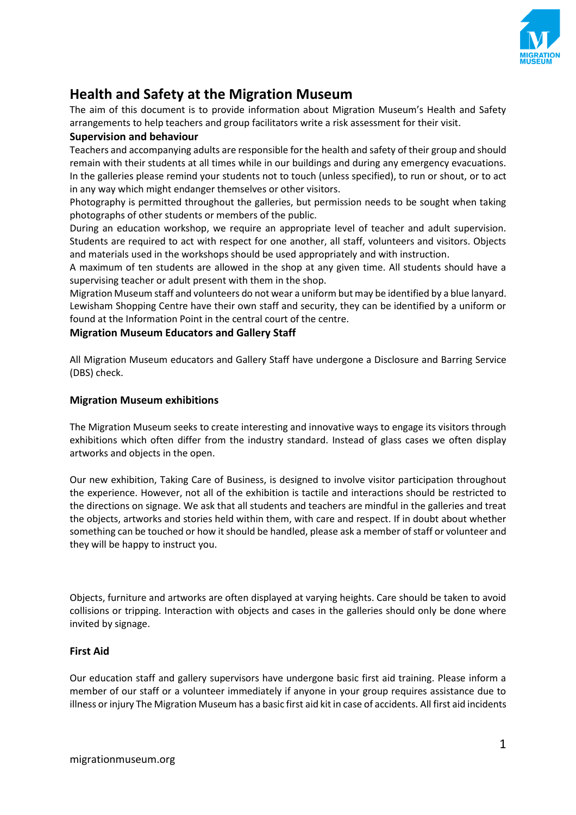

# **Health and Safety at the Migration Museum**

The aim of this document is to provide information about Migration Museum's Health and Safety arrangements to help teachers and group facilitators write a risk assessment for their visit.

# **Supervision and behaviour**

Teachers and accompanying adults are responsible for the health and safety of their group and should remain with their students at all times while in our buildings and during any emergency evacuations. In the galleries please remind your students not to touch (unless specified), to run or shout, or to act in any way which might endanger themselves or other visitors.

Photography is permitted throughout the galleries, but permission needs to be sought when taking photographs of other students or members of the public.

During an education workshop, we require an appropriate level of teacher and adult supervision. Students are required to act with respect for one another, all staff, volunteers and visitors. Objects and materials used in the workshops should be used appropriately and with instruction.

A maximum of ten students are allowed in the shop at any given time. All students should have a supervising teacher or adult present with them in the shop.

Migration Museum staff and volunteers do not wear a uniform but may be identified by a blue lanyard. Lewisham Shopping Centre have their own staff and security, they can be identified by a uniform or found at the Information Point in the central court of the centre.

# **Migration Museum Educators and Gallery Staff**

All Migration Museum educators and Gallery Staff have undergone a Disclosure and Barring Service (DBS) check.

## **Migration Museum exhibitions**

The Migration Museum seeks to create interesting and innovative ways to engage its visitors through exhibitions which often differ from the industry standard. Instead of glass cases we often display artworks and objects in the open.

Our new exhibition, Taking Care of Business, is designed to involve visitor participation throughout the experience. However, not all of the exhibition is tactile and interactions should be restricted to the directions on signage. We ask that all students and teachers are mindful in the galleries and treat the objects, artworks and stories held within them, with care and respect. If in doubt about whether something can be touched or how it should be handled, please ask a member of staff or volunteer and they will be happy to instruct you.

Objects, furniture and artworks are often displayed at varying heights. Care should be taken to avoid collisions or tripping. Interaction with objects and cases in the galleries should only be done where invited by signage.

# **First Aid**

Our education staff and gallery supervisors have undergone basic first aid training. Please inform a member of our staff or a volunteer immediately if anyone in your group requires assistance due to illness or injury The Migration Museum has a basic first aid kit in case of accidents. All first aid incidents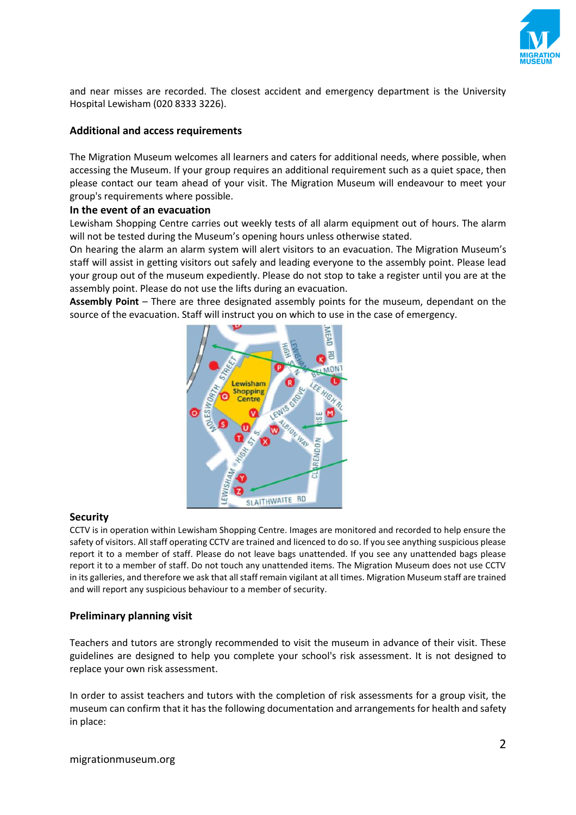

and near misses are recorded. The closest accident and emergency department is the University Hospital Lewisham (020 8333 3226).

## **Additional and access requirements**

The Migration Museum welcomes all learners and caters for additional needs, where possible, when accessing the Museum. If your group requires an additional requirement such as a quiet space, then please contact our team ahead of your visit. The Migration Museum will endeavour to meet your group's requirements where possible.

#### **In the event of an evacuation**

Lewisham Shopping Centre carries out weekly tests of all alarm equipment out of hours. The alarm will not be tested during the Museum's opening hours unless otherwise stated.

On hearing the alarm an alarm system will alert visitors to an evacuation. The Migration Museum's staff will assist in getting visitors out safely and leading everyone to the assembly point. Please lead your group out of the museum expediently. Please do not stop to take a register until you are at the assembly point. Please do not use the lifts during an evacuation.

**Assembly Point** – There are three designated assembly points for the museum, dependant on the source of the evacuation. Staff will instruct you on which to use in the case of emergency.



#### **Security**

CCTV is in operation within Lewisham Shopping Centre. Images are monitored and recorded to help ensure the safety of visitors. All staff operating CCTV are trained and licenced to do so. If you see anything suspicious please report it to a member of staff. Please do not leave bags unattended. If you see any unattended bags please report it to a member of staff. Do not touch any unattended items. The Migration Museum does not use CCTV in its galleries, and therefore we ask that all staff remain vigilant at all times. Migration Museum staff are trained and will report any suspicious behaviour to a member of security.

#### **Preliminary planning visit**

Teachers and tutors are strongly recommended to visit the museum in advance of their visit. These guidelines are designed to help you complete your school's risk assessment. It is not designed to replace your own risk assessment.

In order to assist teachers and tutors with the completion of risk assessments for a group visit, the museum can confirm that it has the following documentation and arrangements for health and safety in place: